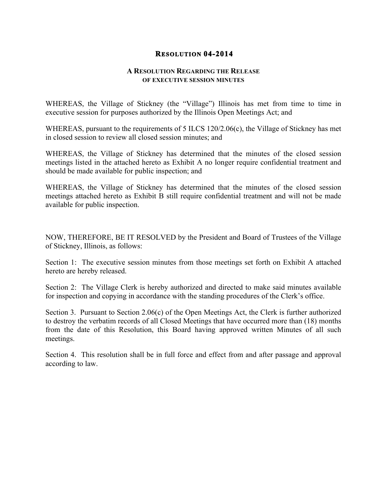## **RESOLUTION 04-2014**

## **A RESOLUTION REGARDING THE RELEASE OF EXECUTIVE SESSION MINUTES**

WHEREAS, the Village of Stickney (the "Village") Illinois has met from time to time in executive session for purposes authorized by the Illinois Open Meetings Act; and

WHEREAS, pursuant to the requirements of 5 ILCS 120/2.06(c), the Village of Stickney has met in closed session to review all closed session minutes; and

WHEREAS, the Village of Stickney has determined that the minutes of the closed session meetings listed in the attached hereto as Exhibit A no longer require confidential treatment and should be made available for public inspection; and

WHEREAS, the Village of Stickney has determined that the minutes of the closed session meetings attached hereto as Exhibit B still require confidential treatment and will not be made available for public inspection.

NOW, THEREFORE, BE IT RESOLVED by the President and Board of Trustees of the Village of Stickney, Illinois, as follows:

Section 1: The executive session minutes from those meetings set forth on Exhibit A attached hereto are hereby released.

Section 2: The Village Clerk is hereby authorized and directed to make said minutes available for inspection and copying in accordance with the standing procedures of the Clerk's office.

Section 3. Pursuant to Section 2.06(c) of the Open Meetings Act, the Clerk is further authorized to destroy the verbatim records of all Closed Meetings that have occurred more than (18) months from the date of this Resolution, this Board having approved written Minutes of all such meetings.

Section 4. This resolution shall be in full force and effect from and after passage and approval according to law.